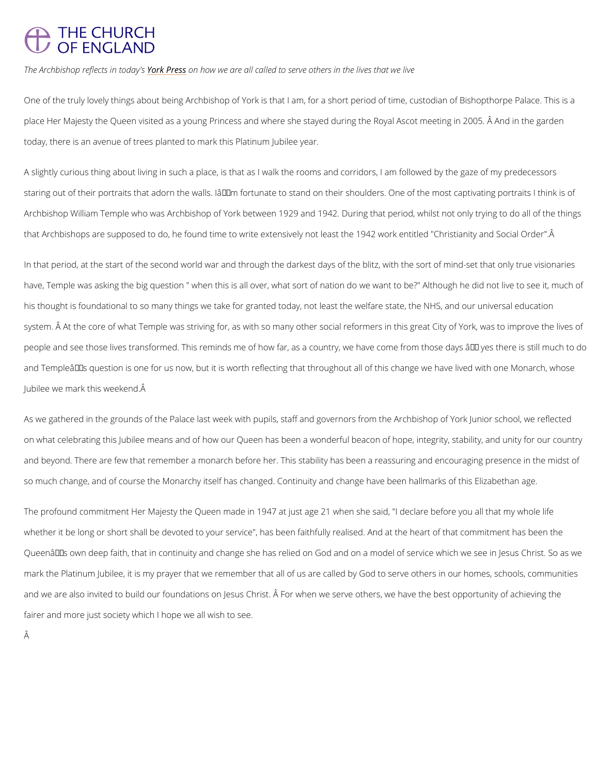## **THE CHURCH** OF ENGLAND

The Archbishop refleYcotskifPrteconschagivs we are all called to serve others in the lives that we live

One of the truly lovely things about being Archbishop of York is that I am, for a short period place Her Majesty the Queen visited as a young Princess and where she stayed during the Ro today, there is an avenue of trees planted to mark this Platinum Jubilee year.

A slightly curious thing about living in such a place, is that as I walk the rooms and corridor staring out of their portraits that adorn the walls. Iâ $\epsilon^{\intercal m}$ m fortunate to stand on their shoulde Archbishop William Temple who was Archbishop of York between 1929 and 1942. During that that Archbishops are supposed to do, he found time to write extensively not least the 1942 w

In that period, at the start of the second world war and through the darkest days of the blitz have, Temple was asking the big question " when this is all over, what sort of nation do we v his thought is foundational to so many things we take for granted today, not least the welfar system. Å At the core of what Temple was striving for, as with so many other social reformer people and see those lives transformed. This reminds me of how far, as a country, we have c and Templeâ $\epsilon$ ™s question is one for us now, but it is worth reflecting that throughout all of Jubilee we mark this weekend.

As we gathered in the grounds of the Palace last week with pupils, staff and governors from on what celebrating this Jubilee means and of how our Queen has been a wonderful beacon o and beyond. There are few that remember a monarch before her. This stability has been a rea so much change, and of course the Monarchy itself has changed. Continuity and change have

The profound commitment Her Majesty the Queen made in 1947 at just age 21 when she said, whether it be long or short shall be devoted to your service", has been faithfully realised. An Queen $\hat{a} \in \mathbb{M}$ s own deep faith, that in continuity and change she has relied on God and on a mo mark the Platinum Jubilee, it is my prayer that we remember that all of us are called by God

## and we are also invited to build our foundations on Jesus Christ. A For when we serve others

fairer and more just society which I hope we all wish to see.

Â